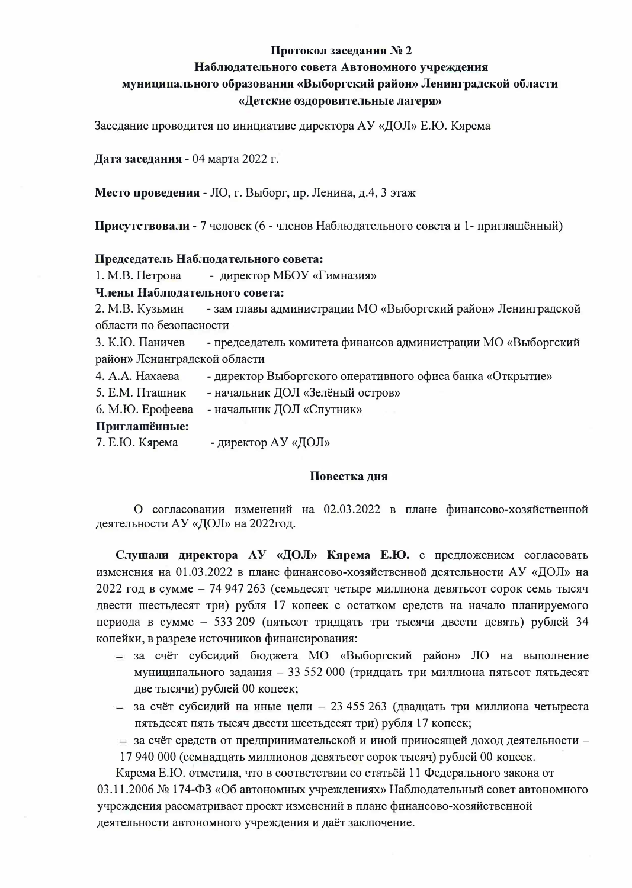#### Протокол заседания № 2

## Наблюдательного совета Автономного учреждения

## муниципального образования «Выборгский район» Ленинградской области «Детские оздоровительные лагеря»

Заседание проводится по инициативе директора АУ «ДОЛ» Е.Ю. Кярема

Дата заседания - 04 марта 2022 г.

Место проведения - ЛО, г. Выборг, пр. Ленина, д.4, 3 этаж

Присутствовали - 7 человек (6 - членов Наблюдательного совета и 1- приглашённый)

#### Председатель Наблюдательного совета:

1. М.В. Петрова - директор МБОУ «Гимназия»

Члены Наблюдательного совета:

2. М.В. Кузьмин - зам главы администрации МО «Выборгский район» Ленинградской области по безопасности

3. К.Ю. Паничев - председатель комитета финансов администрации МО «Выборгский район» Ленинградской области

- 4. A.A. Нахаева - директор Выборгского оперативного офиса банка «Открытие»
- 5. Е.М. Пташник - начальник ДОЛ «Зелёный остров»

- начальник ДОЛ «Спутник» 6. М.Ю. Ерофеева

## Приглашённые:

7. Е.Ю. Кярема - директор АУ «ДОЛ»

#### Повестка дня

О согласовании изменений на 02.03.2022 в плане финансово-хозяйственной деятельности АУ «ДОЛ» на 2022год.

Слушали директора АУ «ДОЛ» Кярема Е.Ю. с предложением согласовать изменения на 01.03.2022 в плане финансово-хозяйственной деятельности АУ «ДОЛ» на 2022 год в сумме - 74 947 263 (семьдесят четыре миллиона девятьсот сорок семь тысяч двести шестьдесят три) рубля 17 копеек с остатком средств на начало планируемого периода в сумме - 533 209 (пятьсот тридцать три тысячи двести девять) рублей 34 копейки, в разрезе источников финансирования:

- за счёт субсидий бюджета МО «Выборгский район» ЛО на выполнение муниципального задания - 33 552 000 (тридцать три миллиона пятьсот пятьдесят две тысячи) рублей 00 копеек;
- за счёт субсидий на иные цели 23 455 263 (двадцать три миллиона четыреста пятьдесят пять тысяч двести шестьдесят три) рубля 17 копеек;
- за счёт средств от предпринимательской и иной приносящей доход деятельности -17 940 000 (семнадцать миллионов девятьсот сорок тысяч) рублей 00 копеек.

Кярема Е.Ю. отметила, что в соответствии со статьёй 11 Федерального закона от

03.11.2006 № 174-ФЗ «Об автономных учреждениях» Наблюдательный совет автономного учреждения рассматривает проект изменений в плане финансово-хозяйственной деятельности автономного учреждения и даёт заключение.